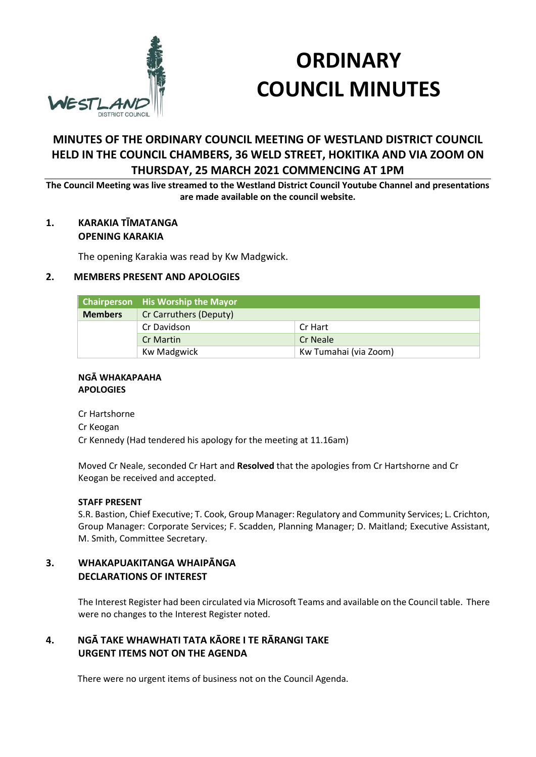

# **ORDINARY COUNCIL MINUTES**

## **MINUTES OF THE ORDINARY COUNCIL MEETING OF WESTLAND DISTRICT COUNCIL HELD IN THE COUNCIL CHAMBERS, 36 WELD STREET, HOKITIKA AND VIA ZOOM ON THURSDAY, 25 MARCH 2021 COMMENCING AT 1PM**

**The Council Meeting was live streamed to the Westland District Council Youtube Channel and presentations are made available on the council website.** 

## **1. KARAKIA TĪMATANGA OPENING KARAKIA**

The opening Karakia was read by Kw Madgwick.

## **2. MEMBERS PRESENT AND APOLOGIES**

|                | <b>Chairperson</b> His Worship the Mayor |                       |
|----------------|------------------------------------------|-----------------------|
| <b>Members</b> | Cr Carruthers (Deputy)                   |                       |
|                | Cr Davidson                              | Cr Hart               |
|                | <b>Cr Martin</b>                         | <b>Cr Neale</b>       |
|                | <b>Kw Madgwick</b>                       | Kw Tumahai (via Zoom) |

#### **NGĀ WHAKAPAAHA APOLOGIES**

Cr Hartshorne Cr Keogan Cr Kennedy (Had tendered his apology for the meeting at 11.16am)

Moved Cr Neale, seconded Cr Hart and **Resolved** that the apologies from Cr Hartshorne and Cr Keogan be received and accepted.

#### **STAFF PRESENT**

S.R. Bastion, Chief Executive; T. Cook, Group Manager: Regulatory and Community Services; L. Crichton, Group Manager: Corporate Services; F. Scadden, Planning Manager; D. Maitland; Executive Assistant, M. Smith, Committee Secretary.

## **3. WHAKAPUAKITANGA WHAIPĀNGA DECLARATIONS OF INTEREST**

The Interest Register had been circulated via Microsoft Teams and available on the Council table. There were no changes to the Interest Register noted.

## **4. NGĀ TAKE WHAWHATI TATA KĀORE I TE RĀRANGI TAKE URGENT ITEMS NOT ON THE AGENDA**

There were no urgent items of business not on the Council Agenda.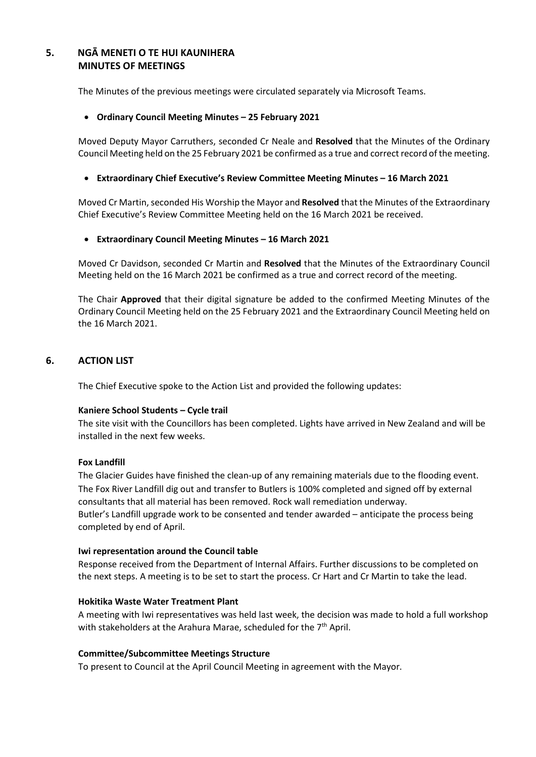## **5. NGĀ MENETI O TE HUI KAUNIHERA MINUTES OF MEETINGS**

The Minutes of the previous meetings were circulated separately via Microsoft Teams.

#### **Ordinary Council Meeting Minutes – 25 February 2021**

Moved Deputy Mayor Carruthers, seconded Cr Neale and **Resolved** that the Minutes of the Ordinary Council Meeting held on the 25 February 2021 be confirmed as a true and correct record of the meeting.

#### **Extraordinary Chief Executive's Review Committee Meeting Minutes – 16 March 2021**

Moved Cr Martin, seconded His Worship the Mayor and **Resolved** that the Minutes of the Extraordinary Chief Executive's Review Committee Meeting held on the 16 March 2021 be received.

#### **Extraordinary Council Meeting Minutes – 16 March 2021**

Moved Cr Davidson, seconded Cr Martin and **Resolved** that the Minutes of the Extraordinary Council Meeting held on the 16 March 2021 be confirmed as a true and correct record of the meeting.

The Chair **Approved** that their digital signature be added to the confirmed Meeting Minutes of the Ordinary Council Meeting held on the 25 February 2021 and the Extraordinary Council Meeting held on the 16 March 2021.

## **6. ACTION LIST**

The Chief Executive spoke to the Action List and provided the following updates:

#### **Kaniere School Students – Cycle trail**

The site visit with the Councillors has been completed. Lights have arrived in New Zealand and will be installed in the next few weeks.

#### **Fox Landfill**

The Glacier Guides have finished the clean-up of any remaining materials due to the flooding event. The Fox River Landfill dig out and transfer to Butlers is 100% completed and signed off by external consultants that all material has been removed. Rock wall remediation underway. Butler's Landfill upgrade work to be consented and tender awarded – anticipate the process being completed by end of April.

#### **Iwi representation around the Council table**

Response received from the Department of Internal Affairs. Further discussions to be completed on the next steps. A meeting is to be set to start the process. Cr Hart and Cr Martin to take the lead.

#### **Hokitika Waste Water Treatment Plant**

A meeting with Iwi representatives was held last week, the decision was made to hold a full workshop with stakeholders at the Arahura Marae, scheduled for the  $7<sup>th</sup>$  April.

#### **Committee/Subcommittee Meetings Structure**

To present to Council at the April Council Meeting in agreement with the Mayor.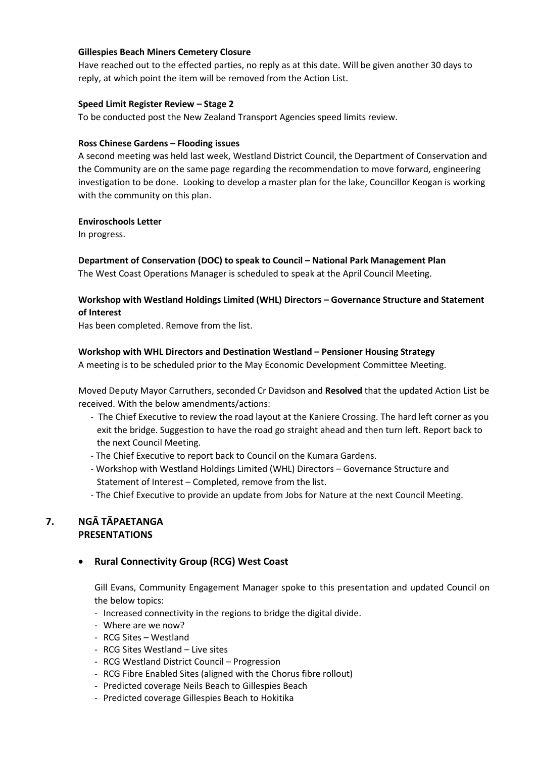#### **Gillespies Beach Miners Cemetery Closure**

Have reached out to the effected parties, no reply as at this date. Will be given another 30 days to reply, at which point the item will be removed from the Action List.

#### **Speed Limit Register Review – Stage 2**

To be conducted post the New Zealand Transport Agencies speed limits review.

#### **Ross Chinese Gardens – Flooding issues**

A second meeting was held last week, Westland District Council, the Department of Conservation and the Community are on the same page regarding the recommendation to move forward, engineering investigation to be done. Looking to develop a master plan for the lake, Councillor Keogan is working with the community on this plan.

#### **Enviroschools Letter**

In progress.

## **Department of Conservation (DOC) to speak to Council – National Park Management Plan**

The West Coast Operations Manager is scheduled to speak at the April Council Meeting.

## **Workshop with Westland Holdings Limited (WHL) Directors – Governance Structure and Statement of Interest**

Has been completed. Remove from the list.

## **Workshop with WHL Directors and Destination Westland – Pensioner Housing Strategy**

A meeting is to be scheduled prior to the May Economic Development Committee Meeting.

Moved Deputy Mayor Carruthers, seconded Cr Davidson and **Resolved** that the updated Action List be received. With the below amendments/actions:

- The Chief Executive to review the road layout at the Kaniere Crossing. The hard left corner as you exit the bridge. Suggestion to have the road go straight ahead and then turn left. Report back to the next Council Meeting.
- The Chief Executive to report back to Council on the Kumara Gardens.
- Workshop with Westland Holdings Limited (WHL) Directors Governance Structure and Statement of Interest – Completed, remove from the list.
- The Chief Executive to provide an update from Jobs for Nature at the next Council Meeting.

## **7. NGĀ TĀPAETANGA PRESENTATIONS**

## **Rural Connectivity Group (RCG) West Coast**

Gill Evans, Community Engagement Manager spoke to this presentation and updated Council on the below topics:

- Increased connectivity in the regions to bridge the digital divide.
- Where are we now?
- RCG Sites Westland
- RCG Sites Westland Live sites
- RCG Westland District Council Progression
- RCG Fibre Enabled Sites (aligned with the Chorus fibre rollout)
- Predicted coverage Neils Beach to Gillespies Beach
- Predicted coverage Gillespies Beach to Hokitika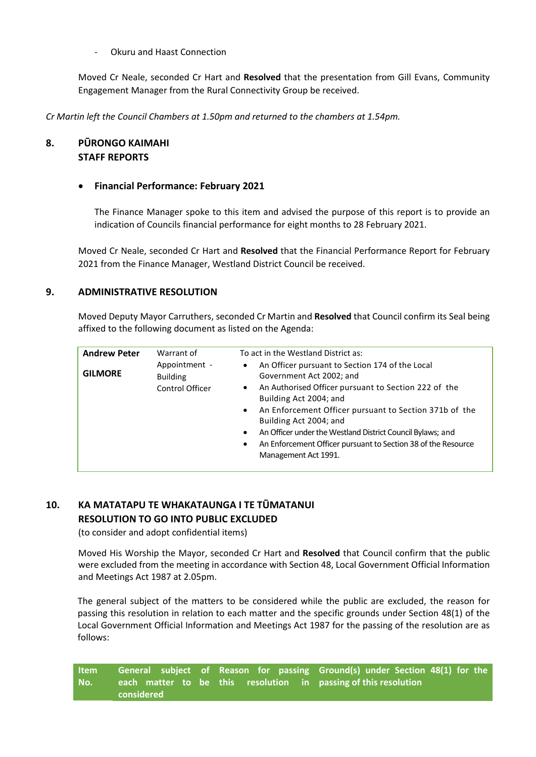#### - Okuru and Haast Connection

Moved Cr Neale, seconded Cr Hart and **Resolved** that the presentation from Gill Evans, Community Engagement Manager from the Rural Connectivity Group be received.

*Cr Martin left the Council Chambers at 1.50pm and returned to the chambers at 1.54pm.* 

## **8. PŪRONGO KAIMAHI STAFF REPORTS**

#### **Financial Performance: February 2021**

The Finance Manager spoke to this item and advised the purpose of this report is to provide an indication of Councils financial performance for eight months to 28 February 2021.

Moved Cr Neale, seconded Cr Hart and **Resolved** that the Financial Performance Report for February 2021 from the Finance Manager, Westland District Council be received.

#### **9. ADMINISTRATIVE RESOLUTION**

Moved Deputy Mayor Carruthers, seconded Cr Martin and **Resolved** that Council confirm its Seal being affixed to the following document as listed on the Agenda:

| <b>Andrew Peter</b><br><b>GILMORE</b> | Warrant of<br>Appointment -<br><b>Building</b><br>Control Officer | To act in the Westland District as:<br>An Officer pursuant to Section 174 of the Local<br>$\bullet$<br>Government Act 2002; and<br>An Authorised Officer pursuant to Section 222 of the<br>$\bullet$<br>Building Act 2004; and                                         |  |
|---------------------------------------|-------------------------------------------------------------------|------------------------------------------------------------------------------------------------------------------------------------------------------------------------------------------------------------------------------------------------------------------------|--|
|                                       |                                                                   | An Enforcement Officer pursuant to Section 371b of the<br>$\bullet$<br>Building Act 2004; and<br>An Officer under the Westland District Council Bylaws; and<br>$\bullet$<br>An Enforcement Officer pursuant to Section 38 of the Resource<br>٠<br>Management Act 1991. |  |

#### **10. KA MATATAPU TE WHAKATAUNGA I TE TŪMATANUI RESOLUTION TO GO INTO PUBLIC EXCLUDED**

(to consider and adopt confidential items)

 Moved His Worship the Mayor, seconded Cr Hart and **Resolved** that Council confirm that the public were excluded from the meeting in accordance with Section 48, Local Government Official Information and Meetings Act 1987 at 2.05pm.

The general subject of the matters to be considered while the public are excluded, the reason for passing this resolution in relation to each matter and the specific grounds under Section 48(1) of the Local Government Official Information and Meetings Act 1987 for the passing of the resolution are as follows:

**Item No.**  General subject of Reason for passing Ground(s) under Section 48(1) for the **each matter to be this resolution in passing of this resolution considered**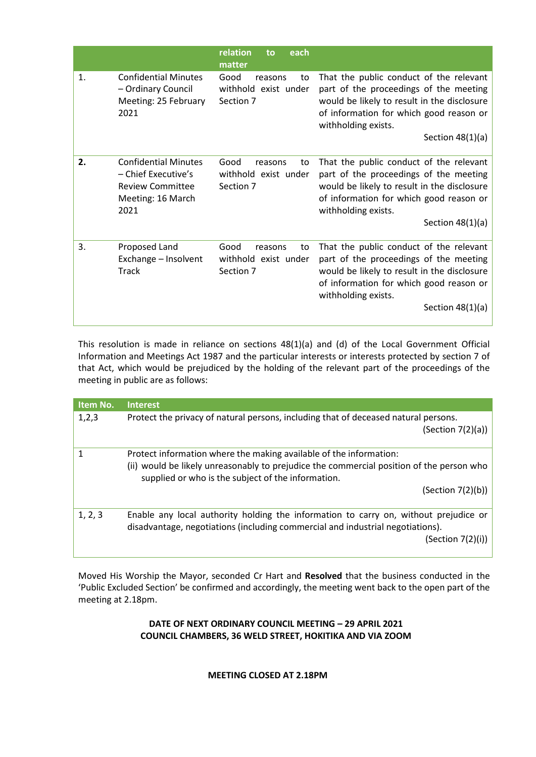|    |                                                                                                            | relation<br>each<br>to<br>matter                           |                                                                                                                                                                                                                          |
|----|------------------------------------------------------------------------------------------------------------|------------------------------------------------------------|--------------------------------------------------------------------------------------------------------------------------------------------------------------------------------------------------------------------------|
| 1. | <b>Confidential Minutes</b><br>- Ordinary Council<br>Meeting: 25 February<br>2021                          | Good<br>reasons<br>to<br>withhold exist under<br>Section 7 | That the public conduct of the relevant<br>part of the proceedings of the meeting<br>would be likely to result in the disclosure<br>of information for which good reason or<br>withholding exists.<br>Section $48(1)(a)$ |
| 2. | <b>Confidential Minutes</b><br>- Chief Executive's<br><b>Review Committee</b><br>Meeting: 16 March<br>2021 | Good<br>reasons<br>to<br>withhold exist under<br>Section 7 | That the public conduct of the relevant<br>part of the proceedings of the meeting<br>would be likely to result in the disclosure<br>of information for which good reason or<br>withholding exists.<br>Section $48(1)(a)$ |
| 3. | Proposed Land<br>Exchange - Insolvent<br>Track                                                             | Good<br>reasons<br>to<br>withhold exist under<br>Section 7 | That the public conduct of the relevant<br>part of the proceedings of the meeting<br>would be likely to result in the disclosure<br>of information for which good reason or<br>withholding exists.<br>Section $48(1)(a)$ |

This resolution is made in reliance on sections 48(1)(a) and (d) of the Local Government Official Information and Meetings Act 1987 and the particular interests or interests protected by section 7 of that Act, which would be prejudiced by the holding of the relevant part of the proceedings of the meeting in public are as follows:

| Item No. | <b>Interest</b>                                                                          |  |
|----------|------------------------------------------------------------------------------------------|--|
| 1,2,3    | Protect the privacy of natural persons, including that of deceased natural persons.      |  |
|          | (Section 7(2)(a))                                                                        |  |
|          | Protect information where the making available of the information:                       |  |
|          | (ii) would be likely unreasonably to prejudice the commercial position of the person who |  |
|          | supplied or who is the subject of the information.                                       |  |
|          | (Section 7(2)(b))                                                                        |  |
|          |                                                                                          |  |
| 1, 2, 3  | Enable any local authority holding the information to carry on, without prejudice or     |  |
|          | disadvantage, negotiations (including commercial and industrial negotiations).           |  |
|          | (Section 7(2)(i))                                                                        |  |
|          |                                                                                          |  |

Moved His Worship the Mayor, seconded Cr Hart and **Resolved** that the business conducted in the 'Public Excluded Section' be confirmed and accordingly, the meeting went back to the open part of the meeting at 2.18pm.

## **DATE OF NEXT ORDINARY COUNCIL MEETING – 29 APRIL 2021 COUNCIL CHAMBERS, 36 WELD STREET, HOKITIKA AND VIA ZOOM**

## **MEETING CLOSED AT 2.18PM**